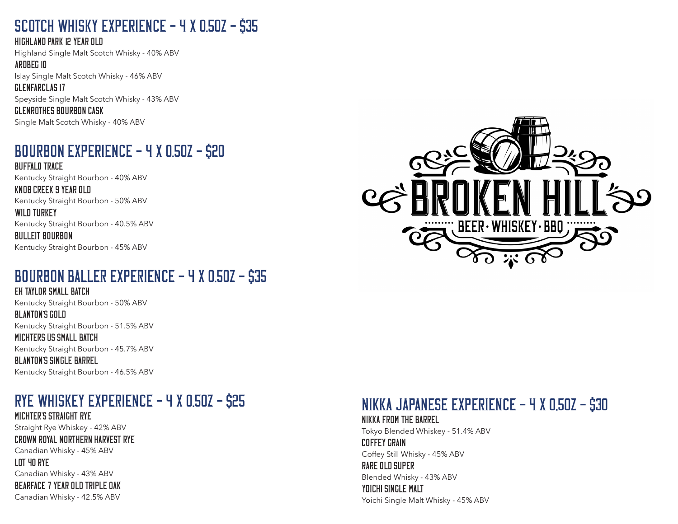#### SCOTCH WHISKY EXPERIENCE - 4 X 0.50Z - \$35

Highland Park 12 year old

Highland Single Malt Scotch Whisky - 40% ABV Ardbeg 10

Islay Single Malt Scotch Whisky - 46% ABV

glenfarclas 17 Speyside Single Malt Scotch Whisky - 43% ABV glenrothes bourbon cask

Single Malt Scotch Whisky - 40% ABV

#### BOURBON EXPERIENCE  $-$  4 x 0.50Z  $-$  \$20

buffalo trace Kentucky Straight Bourbon - 40% ABV

Knob Creek 9 year old Kentucky Straight Bourbon - 50% ABV

WILD TURKEY Kentucky Straight Bourbon - 40.5% ABV

bulleit bourbon Kentucky Straight Bourbon - 45% ABV

#### BOURBON BALLER EXPERIENCE  $-$  4 X 0.50Z  $-$  \$35

eh taylor small batch Kentucky Straight Bourbon - 50% ABV BLANTON'S GOLD Kentucky Straight Bourbon - 51.5% ABV michters us small batch Kentucky Straight Bourbon - 45.7% ABV Blanton's single barrel Kentucky Straight Bourbon - 46.5% ABV

#### RYE WHISKEY EXPERIENCE – 4 X 0.50Z – \$25

Michter's straight rye Straight Rye Whiskey - 42% ABV crown royal northern harvest rye Canadian Whisky - 45% ABV lot 40 Rye Canadian Whisky - 43% ABV bearface 7 year old triple oak

Canadian Whisky - 42.5% ABV



### NIKKA JAPANESE EXPERIENCE – 4 X 0.50Z – \$30

Nikka from the barrel Tokyo Blended Whiskey - 51.4% ABV Coffey grain Coffey Still Whisky - 45% ABV Rare old super Blended Whisky - 43% ABV Yoichi Single Malt Yoichi Single Malt Whisky - 45% ABV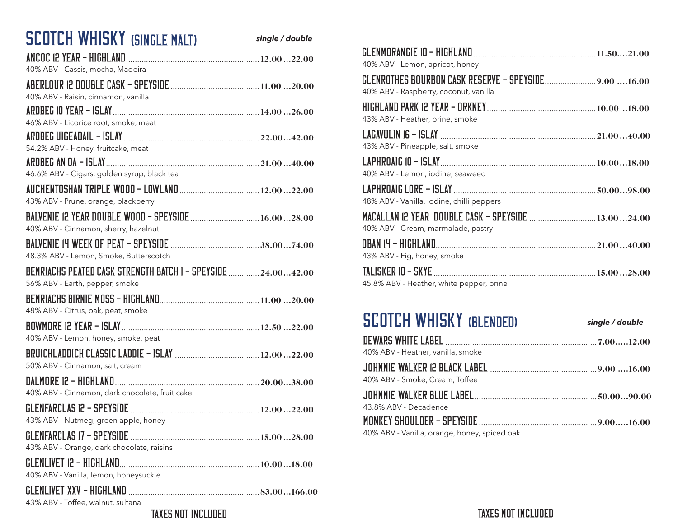| <b>SCOTCH WHISKY (SINGLE MALT)</b>                                                              | single / double |
|-------------------------------------------------------------------------------------------------|-----------------|
|                                                                                                 |                 |
| 40% ABV - Cassis, mocha, Madeira                                                                |                 |
|                                                                                                 |                 |
| 40% ABV - Raisin, cinnamon, vanilla                                                             |                 |
| 46% ABV - Licorice root, smoke, meat                                                            |                 |
|                                                                                                 |                 |
| 54.2% ABV - Honey, fruitcake, meat                                                              |                 |
|                                                                                                 |                 |
| 46.6% ABV - Cigars, golden syrup, black tea                                                     |                 |
| 43% ABV - Prune, orange, blackberry                                                             |                 |
|                                                                                                 |                 |
| 40% ABV - Cinnamon, sherry, hazelnut                                                            |                 |
|                                                                                                 |                 |
| 48.3% ABV - Lemon, Smoke, Butterscotch                                                          |                 |
| BENRIACHS PEATED CASK STRENGTH BATCH I - SPEYSIDE  24.0042.00<br>56% ABV - Earth, pepper, smoke |                 |
|                                                                                                 |                 |
| 48% ABV - Citrus, oak, peat, smoke                                                              |                 |
|                                                                                                 |                 |
| 40% ABV - Lemon, honey, smoke, peat                                                             |                 |
|                                                                                                 |                 |
| 50% ABV - Cinnamon, salt, cream                                                                 |                 |
|                                                                                                 |                 |
| 40% ABV - Cinnamon, dark chocolate, fruit cake                                                  |                 |
|                                                                                                 |                 |
| 43% ABV - Nutmeg, green apple, honey                                                            |                 |
| 43% ABV - Orange, dark chocolate, raisins                                                       |                 |
|                                                                                                 |                 |
| 40% ABV - Vanilla, lemon, honeysuckle                                                           |                 |
| 43% ABV - Toffee, walnut, sultana                                                               |                 |

| 40% ABV - Lemon, apricot, honey                                                           |  |
|-------------------------------------------------------------------------------------------|--|
| 40% ABV - Raspberry, coconut, vanilla                                                     |  |
| 43% ABV - Heather, brine, smoke                                                           |  |
| 43% ABV - Pineapple, salt, smoke                                                          |  |
| 40% ABV - Lemon, iodine, seaweed                                                          |  |
| 48% ABV - Vanilla, iodine, chilli peppers                                                 |  |
| MACALLAN 12 YEAR DOUBLE CASK - SPEYSIDE  13.0024.00<br>40% ABV - Cream, marmalade, pastry |  |
| 43% ABV - Fig, honey, smoke                                                               |  |
| 45.8% ABV - Heather, white pepper, brine                                                  |  |

## SCOTCH WHISKY (BLENDED) *single / double*

| 40% ABV - Heather, vanilla, smoke |  |
|-----------------------------------|--|
|                                   |  |
| 40% ABV - Smoke, Cream, Toffee    |  |
|                                   |  |
|                                   |  |
| 43.8% ABV - Decadence             |  |
|                                   |  |

#### Taxes not included Taxes not included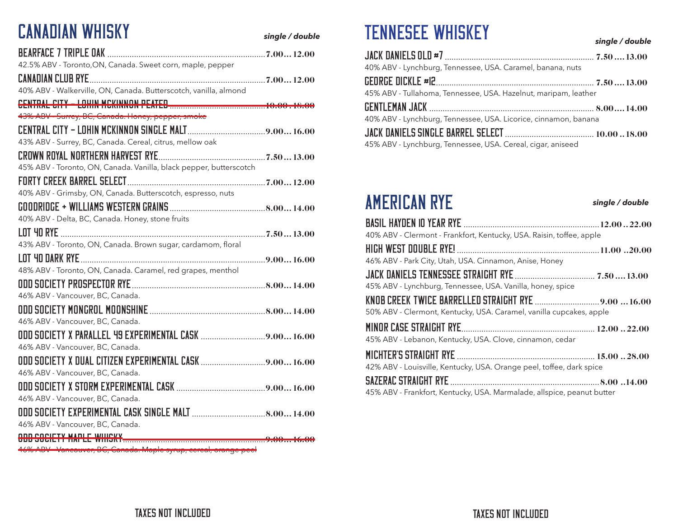# CANADIAN WHISKY

*single / double*

| 42.5% ABV - Toronto, ON, Canada. Sweet corn, maple, pepper         |  |
|--------------------------------------------------------------------|--|
|                                                                    |  |
| 40% ABV - Walkerville, ON, Canada. Butterscotch, vanilla, almond   |  |
|                                                                    |  |
| 43% ABV - Surrey, BC, Canada. Honey, pepper, smoke                 |  |
|                                                                    |  |
| 43% ABV - Surrey, BC, Canada. Cereal, citrus, mellow oak           |  |
|                                                                    |  |
| 45% ABV - Toronto, ON, Canada. Vanilla, black pepper, butterscotch |  |
|                                                                    |  |
| 40% ABV - Grimsby, ON, Canada. Butterscotch, espresso, nuts        |  |
|                                                                    |  |
| 40% ABV - Delta, BC, Canada. Honey, stone fruits                   |  |
|                                                                    |  |
| 43% ABV - Toronto, ON, Canada. Brown sugar, cardamom, floral       |  |
|                                                                    |  |
| 48% ABV - Toronto, ON, Canada. Caramel, red grapes, menthol        |  |
|                                                                    |  |
| 46% ABV - Vancouver, BC, Canada.                                   |  |
|                                                                    |  |
| 46% ABV - Vancouver, BC, Canada.                                   |  |
|                                                                    |  |
| 46% ABV - Vancouver, BC, Canada.                                   |  |
|                                                                    |  |
| 46% ABV - Vancouver, BC, Canada.                                   |  |
|                                                                    |  |
| 46% ABV - Vancouver, BC, Canada.                                   |  |
|                                                                    |  |
| 46% ABV - Vancouver, BC, Canada.                                   |  |
| <b>ODD SOCIETY MAPLE WHISKY.</b>                                   |  |

46% ABV - Vancouver, BC, Canada. Maple syrup, cereal, orange peel

## TENNESEE WHISKEY

*single / double*

*single / double*

| 40% ABV - Lynchburg, Tennessee, USA. Caramel, banana, nuts      |  |
|-----------------------------------------------------------------|--|
|                                                                 |  |
| 45% ABV - Tullahoma, Tennessee, USA. Hazelnut, maripam, leather |  |
|                                                                 |  |
|                                                                 |  |
| 40% ABV - Lynchburg, Tennessee, USA. Licorice, cinnamon, banana |  |
|                                                                 |  |

## AMERICAN RYE

Basil Hayden 10 year rye .............................................................12.00..22.00 40% ABV - Clermont - Frankfort, Kentucky, USA. Raisin, toffee, apple high west double rye! ................................................................11.00 ..20.00 46% ABV - Park City, Utah, USA. Cinnamon, Anise, Honey Jack Daniels Tennessee Straight Rye.................................... 7.50.... 13.00 45% ABV - Lynchburg, Tennessee, USA. Vanilla, honey, spice KNOB CREEK TWICE BARRELLED STRAIGHT RYE .................................9.00 ...16.00 50% ABV - Clermont, Kentucky, USA. Caramel, vanilla cupcakes, apple

| 45% ABV - Lebanon, Kentucky, USA. Clove, cinnamon, cedar |  |
|----------------------------------------------------------|--|
|                                                          |  |

42% ABV - Louisville, Kentucky, USA. Orange peel, toffee, dark spice

| 45% ABV - Frankfort, Kentucky, USA. Marmalade, allspice, peanut butter |  |
|------------------------------------------------------------------------|--|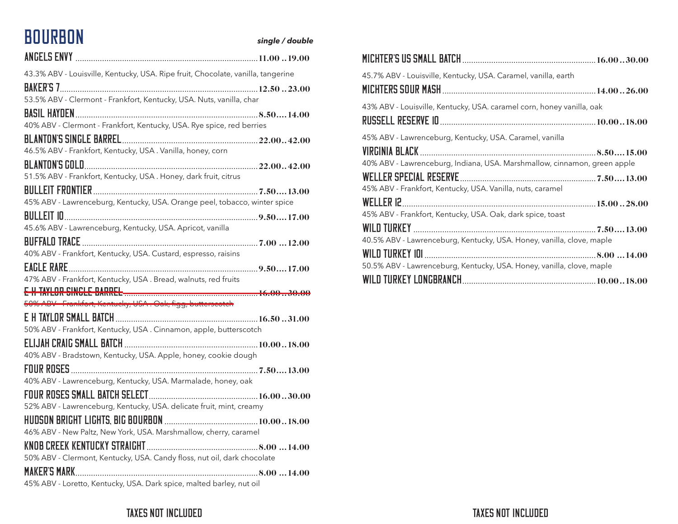## BOURBON *single / double*

| 43.3% ABV - Louisville, Kentucky, USA. Ripe fruit, Chocolate, vanilla, tangerine                                                     |  |
|--------------------------------------------------------------------------------------------------------------------------------------|--|
| 53.5% ABV - Clermont - Frankfort, Kentucky, USA. Nuts, vanilla, char                                                                 |  |
|                                                                                                                                      |  |
| 40% ABV - Clermont - Frankfort, Kentucky, USA. Rye spice, red berries                                                                |  |
|                                                                                                                                      |  |
| 46.5% ABV - Frankfort, Kentucky, USA . Vanilla, honey, corn                                                                          |  |
|                                                                                                                                      |  |
| 51.5% ABV - Frankfort, Kentucky, USA . Honey, dark fruit, citrus                                                                     |  |
| 45% ABV - Lawrenceburg, Kentucky, USA. Orange peel, tobacco, winter spice                                                            |  |
|                                                                                                                                      |  |
| 45.6% ABV - Lawrenceburg, Kentucky, USA. Apricot, vanilla                                                                            |  |
| 40% ABV - Frankfort, Kentucky, USA. Custard, espresso, raisins                                                                       |  |
|                                                                                                                                      |  |
| 47% ABV - Frankfort, Kentucky, USA . Bread, walnuts, red fruits                                                                      |  |
|                                                                                                                                      |  |
|                                                                                                                                      |  |
| 50% ADV Frankfort, Kentueky, USA. Oak, figg, butterseoteh                                                                            |  |
|                                                                                                                                      |  |
| 50% ABV - Frankfort, Kentucky, USA . Cinnamon, apple, butterscotch<br>40% ABV - Bradstown, Kentucky, USA. Apple, honey, cookie dough |  |
|                                                                                                                                      |  |
| 40% ABV - Lawrenceburg, Kentucky, USA. Marmalade, honey, oak                                                                         |  |
|                                                                                                                                      |  |
| 52% ABV - Lawrenceburg, Kentucky, USA. delicate fruit, mint, creamy                                                                  |  |
| 46% ABV - New Paltz, New York, USA. Marshmallow, cherry, caramel                                                                     |  |
| 50% ABV - Clermont, Kentucky, USA. Candy floss, nut oil, dark chocolate                                                              |  |
|                                                                                                                                      |  |

| 45.7% ABV - Louisville, Kentucky, USA. Caramel, vanilla, earth                              |  |
|---------------------------------------------------------------------------------------------|--|
|                                                                                             |  |
| 43% ABV - Louisville, Kentucky, USA. caramel corn, honey vanilla, oak                       |  |
|                                                                                             |  |
| 45% ABV - Lawrenceburg, Kentucky, USA. Caramel, vanilla                                     |  |
| VIRGINIA BLACK.<br>40% ABV - Lawrenceburg, Indiana, USA. Marshmallow, cinnamon, green apple |  |
| 45% ABV - Frankfort, Kentucky, USA. Vanilla, nuts, caramel                                  |  |
| 45% ABV - Frankfort, Kentucky, USA. Oak, dark spice, toast                                  |  |
|                                                                                             |  |
| 40.5% ABV - Lawrenceburg, Kentucky, USA. Honey, vanilla, clove, maple                       |  |
|                                                                                             |  |
| 50.5% ABV - Lawrenceburg, Kentucky, USA. Honey, vanilla, clove, maple                       |  |
|                                                                                             |  |

#### Taxes not included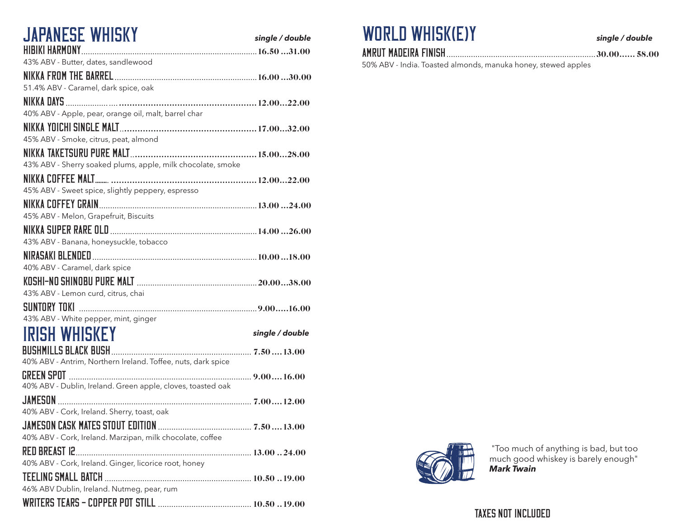| JAPANESE WHISKY                                              | single / double |
|--------------------------------------------------------------|-----------------|
| HIBIKI HARMONY.                                              |                 |
| 43% ABV - Butter, dates, sandlewood                          |                 |
|                                                              |                 |
| 51.4% ABV - Caramel, dark spice, oak                         |                 |
|                                                              |                 |
| 40% ABV - Apple, pear, orange oil, malt, barrel char         |                 |
|                                                              |                 |
| 45% ABV - Smoke, citrus, peat, almond                        |                 |
|                                                              |                 |
| 43% ABV - Sherry soaked plums, apple, milk chocolate, smoke  |                 |
|                                                              |                 |
| 45% ABV - Sweet spice, slightly peppery, espresso            |                 |
|                                                              |                 |
| 45% ABV - Melon, Grapefruit, Biscuits                        |                 |
|                                                              |                 |
| 43% ABV - Banana, honeysuckle, tobacco                       |                 |
|                                                              |                 |
| 40% ABV - Caramel, dark spice                                |                 |
|                                                              |                 |
| 43% ABV - Lemon curd, citrus, chai                           |                 |
|                                                              |                 |
| 43% ABV - White pepper, mint, ginger                         |                 |
| ISH WHISKE`                                                  | single / double |
| BUSHMILLS BLACK BUSH                                         |                 |
| 40% ABV - Antrim, Northern Ireland. Toffee, nuts, dark spice |                 |
|                                                              |                 |
| 40% ABV - Dublin, Ireland. Green apple, cloves, toasted oak  |                 |
|                                                              |                 |
| 40% ABV - Cork, Ireland. Sherry, toast, oak                  |                 |
|                                                              |                 |
| 40% ABV - Cork, Ireland. Marzipan, milk chocolate, coffee    |                 |
|                                                              |                 |
| 40% ABV - Cork, Ireland. Ginger, licorice root, honey        |                 |
|                                                              |                 |
| 46% ABV Dublin, Ireland. Nutmeg, pear, rum                   |                 |
|                                                              |                 |

### WORLD WHISK(E)Y

Amrut Madeira Finish...................................................................30.00...... 58.00

*single / double*

50% ABV - India. Toasted almonds, manuka honey, stewed apples



 "Too much of anything is bad, but too much good whiskey is barely enough" *Mark Twain*

#### Taxes not included